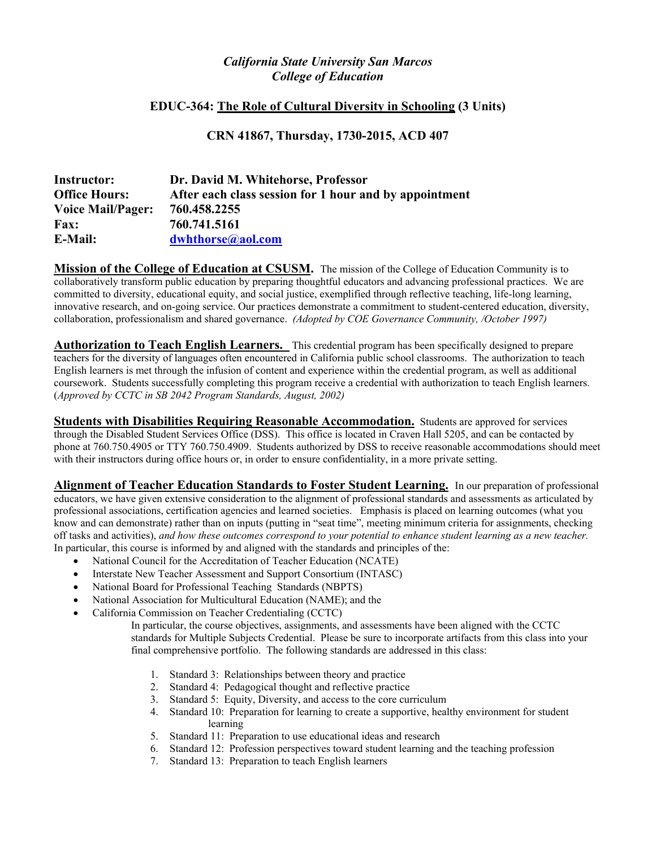# *California State University San Marcos College of Education*

## **EDUC-364: The Role of Cultural Diversity in Schooling (3 Units)**

**CRN 41867, Thursday, 1730-2015, ACD 407** 

| <b>Instructor:</b>       | Dr. David M. Whitehorse, Professor                     |
|--------------------------|--------------------------------------------------------|
| <b>Office Hours:</b>     | After each class session for 1 hour and by appointment |
| <b>Voice Mail/Pager:</b> | 760.458.2255                                           |
| <b>Fax:</b>              | 760.741.5161                                           |
| <b>E-Mail:</b>           | dwhthorse@aol.com                                      |

**Mission of the College of Education at CSUSM.** The mission of the College of Education Community is to collaboratively transform public education by preparing thoughtful educators and advancing professional practices. We are committed to diversity, educational equity, and social justice, exemplified through reflective teaching, life-long learning, innovative research, and on-going service. Our practices demonstrate a commitment to student-centered education, diversity, collaboration, professionalism and shared governance. *(Adopted by COE Governance Community, /October 1997)* 

**Authorization to Teach English Learners.** This credential program has been specifically designed to prepare teachers for the diversity of languages often encountered in California public school classrooms. The authorization to teach English learners is met through the infusion of content and experience within the credential program, as well as additional coursework. Students successfully completing this program receive a credential with authorization to teach English learners. (*Approved by CCTC in SB 2042 Program Standards, August, 2002)* 

**Students with Disabilities Requiring Reasonable Accommodation.** Students are approved for services through the Disabled Student Services Office (DSS). This office is located in Craven Hall 5205, and can be contacted by phone at 760.750.4905 or TTY 760.750.4909. Students authorized by DSS to receive reasonable accommodations should meet with their instructors during office hours or, in order to ensure confidentiality, in a more private setting.

**Alignment of Teacher Education Standards to Foster Student Learning.** In our preparation of professional educators, we have given extensive consideration to the alignment of professional standards and assessments as articulated by professional associations, certification agencies and learned societies. Emphasis is placed on learning outcomes (what you know and can demonstrate) rather than on inputs (putting in "seat time", meeting minimum criteria for assignments, checking off tasks and activities), *and how these outcomes correspond to your potential to enhance student learning as a new teacher.*  In particular, this course is informed by and aligned with the standards and principles of the:

- National Council for the Accreditation of Teacher Education (NCATE)
- Interstate New Teacher Assessment and Support Consortium (INTASC)
- National Board for Professional Teaching Standards (NBPTS)
- National Association for Multicultural Education (NAME); and the
- California Commission on Teacher Credentialing (CCTC)

 In particular, the course objectives, assignments, and assessments have been aligned with the CCTC standards for Multiple Subjects Credential. Please be sure to incorporate artifacts from this class into your final comprehensive portfolio. The following standards are addressed in this class:

- 1. Standard 3: Relationships between theory and practice
- 2. Standard 4: Pedagogical thought and reflective practice
- 3. Standard 5: Equity, Diversity, and access to the core curriculum
- 4. Standard 10: Preparation for learning to create a supportive, healthy environment for student learning
- 5. Standard 11: Preparation to use educational ideas and research
- 6. Standard 12: Profession perspectives toward student learning and the teaching profession
- 7. Standard 13: Preparation to teach English learners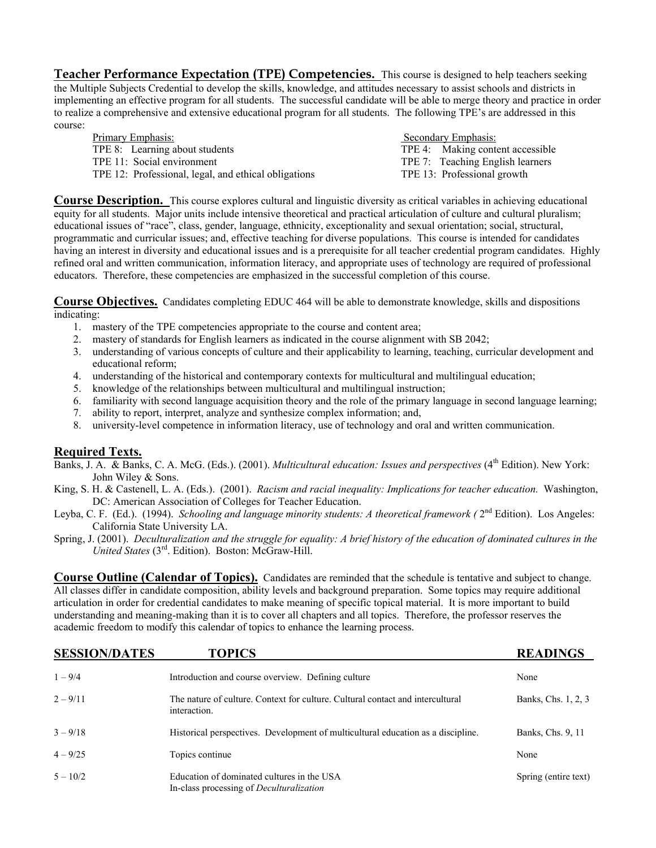**Teacher Performance Expectation (TPE) Competencies.** This course is designed to help teachers seeking the Multiple Subjects Credential to develop the skills, knowledge, and attitudes necessary to assist schools and districts in implementing an effective program for all students. The successful candidate will be able to merge theory and practice in order to realize a comprehensive and extensive educational program for all students. The following TPE's are addressed in this course:

| Primary Emphasis:                                    | Secondary Emphasis:              |
|------------------------------------------------------|----------------------------------|
| TPE 8: Learning about students                       | TPE 4: Making content accessible |
| TPE 11: Social environment                           | TPE 7: Teaching English learners |
| TPE 12: Professional, legal, and ethical obligations | TPE 13: Professional growth      |
|                                                      |                                  |

**Course Description.** This course explores cultural and linguistic diversity as critical variables in achieving educational equity for all students. Major units include intensive theoretical and practical articulation of culture and cultural pluralism; educational issues of "race", class, gender, language, ethnicity, exceptionality and sexual orientation; social, structural, programmatic and curricular issues; and, effective teaching for diverse populations. This course is intended for candidates having an interest in diversity and educational issues and is a prerequisite for all teacher credential program candidates. Highly refined oral and written communication, information literacy, and appropriate uses of technology are required of professional educators. Therefore, these competencies are emphasized in the successful completion of this course.

**Course Objectives.** Candidates completing EDUC 464 will be able to demonstrate knowledge, skills and dispositions indicating:

- 1. mastery of the TPE competencies appropriate to the course and content area;
- 2. mastery of standards for English learners as indicated in the course alignment with SB 2042;
- 3. understanding of various concepts of culture and their applicability to learning, teaching, curricular development and educational reform;
- 4. understanding of the historical and contemporary contexts for multicultural and multilingual education;
- 5. knowledge of the relationships between multicultural and multilingual instruction;
- 6. familiarity with second language acquisition theory and the role of the primary language in second language learning;
- 7. ability to report, interpret, analyze and synthesize complex information; and,
- 8. university-level competence in information literacy, use of technology and oral and written communication.

### **Required Texts.**

- Banks, J. A. & Banks, C. A. McG. (Eds.). (2001). *Multicultural education: Issues and perspectives* (4<sup>th</sup> Edition). New York: John Wiley & Sons.
- King, S. H. & Castenell, L. A. (Eds.). (2001). *Racism and racial inequality: Implications for teacher education.* Washington, DC: American Association of Colleges for Teacher Education.
- Leyba, C. F. (Ed.). (1994). *Schooling and language minority students: A theoretical framework (*  $2<sup>nd</sup>$  Edition). Los Angeles: California State University LA.
- Spring, J. (2001). *Deculturalization and the struggle for equality: A brief history of the education of dominated cultures in the United States* (3rd. Edition). Boston: McGraw-Hill.

**Course Outline (Calendar of Topics).** Candidates are reminded that the schedule is tentative and subject to change. All classes differ in candidate composition, ability levels and background preparation. Some topics may require additional articulation in order for credential candidates to make meaning of specific topical material. It is more important to build understanding and meaning-making than it is to cover all chapters and all topics. Therefore, the professor reserves the academic freedom to modify this calendar of topics to enhance the learning process.

| <b>SESSION/DATES</b> | <b>TOPICS</b>                                                                                  | <b>READINGS</b>      |
|----------------------|------------------------------------------------------------------------------------------------|----------------------|
| $1 - 9/4$            | Introduction and course overview. Defining culture                                             | None                 |
| $2 - 9/11$           | The nature of culture. Context for culture. Cultural contact and intercultural<br>interaction. | Banks, Chs. 1, 2, 3  |
| $3 - 9/18$           | Historical perspectives. Development of multicultural education as a discipline.               | Banks, Chs. 9, 11    |
| $4 - 9/25$           | Topics continue                                                                                | None                 |
| $5 - 10/2$           | Education of dominated cultures in the USA<br>In-class processing of <i>Deculturalization</i>  | Spring (entire text) |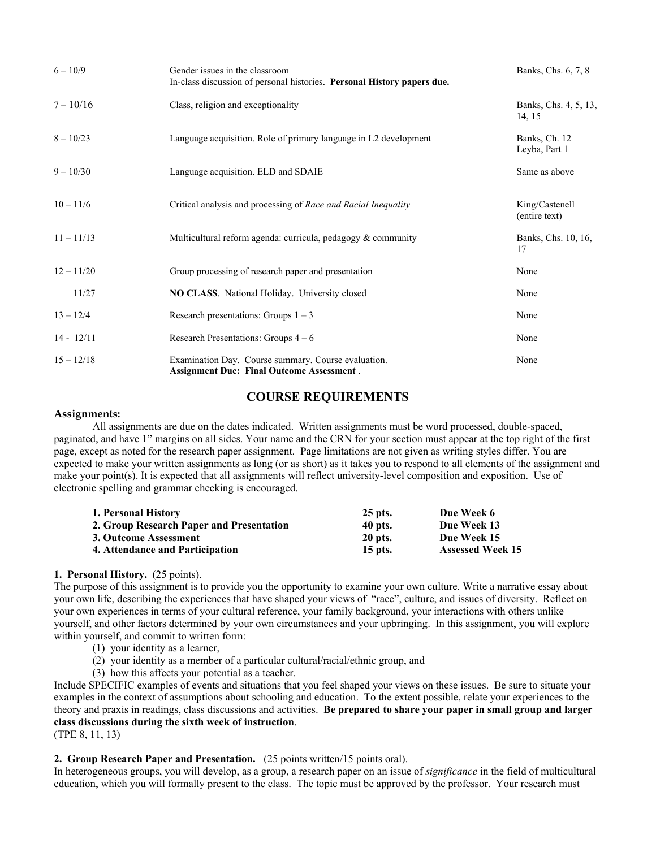| $6 - 10/9$   | Gender issues in the classroom<br>In-class discussion of personal histories. Personal History papers due. | Banks, Chs. 6, 7, 8             |
|--------------|-----------------------------------------------------------------------------------------------------------|---------------------------------|
| $7 - 10/16$  | Class, religion and exceptionality                                                                        | Banks, Chs. 4, 5, 13,<br>14, 15 |
| $8 - 10/23$  | Language acquisition. Role of primary language in L2 development                                          | Banks, Ch. 12<br>Leyba, Part 1  |
| $9 - 10/30$  | Language acquisition. ELD and SDAIE                                                                       | Same as above                   |
| $10 - 11/6$  | Critical analysis and processing of Race and Racial Inequality                                            | King/Castenell<br>(entire text) |
| $11 - 11/13$ | Multicultural reform agenda: curricula, pedagogy & community                                              | Banks, Chs. 10, 16,<br>17       |
| $12 - 11/20$ | Group processing of research paper and presentation                                                       | None                            |
| 11/27        | NO CLASS. National Holiday. University closed                                                             | None                            |
| $13 - 12/4$  | Research presentations: Groups $1 - 3$                                                                    | None                            |
| $14 - 12/11$ | Research Presentations: Groups $4-6$                                                                      | None                            |
| $15 - 12/18$ | Examination Day. Course summary. Course evaluation.<br><b>Assignment Due: Final Outcome Assessment.</b>   | None                            |

# **COURSE REQUIREMENTS**

#### **Assignments:**

All assignments are due on the dates indicated. Written assignments must be word processed, double-spaced, paginated, and have 1" margins on all sides. Your name and the CRN for your section must appear at the top right of the first page, except as noted for the research paper assignment. Page limitations are not given as writing styles differ. You are expected to make your written assignments as long (or as short) as it takes you to respond to all elements of the assignment and make your point(s). It is expected that all assignments will reflect university-level composition and exposition. Use of electronic spelling and grammar checking is encouraged.

| 1. Personal History                      | 25 pts.        | Due Week 6              |
|------------------------------------------|----------------|-------------------------|
| 2. Group Research Paper and Presentation | 40 pts.        | Due Week 13             |
| 3. Outcome Assessment                    | <b>20 pts.</b> | Due Week 15             |
| 4. Attendance and Participation          | $15$ pts.      | <b>Assessed Week 15</b> |

### **1. Personal History.** (25 points).

The purpose of this assignment is to provide you the opportunity to examine your own culture. Write a narrative essay about your own life, describing the experiences that have shaped your views of "race", culture, and issues of diversity. Reflect on your own experiences in terms of your cultural reference, your family background, your interactions with others unlike yourself, and other factors determined by your own circumstances and your upbringing. In this assignment, you will explore within yourself, and commit to written form:

- (1) your identity as a learner,
- (2) your identity as a member of a particular cultural/racial/ethnic group, and
- (3) how this affects your potential as a teacher.

Include SPECIFIC examples of events and situations that you feel shaped your views on these issues. Be sure to situate your examples in the context of assumptions about schooling and education. To the extent possible, relate your experiences to the theory and praxis in readings, class discussions and activities. **Be prepared to share your paper in small group and larger class discussions during the sixth week of instruction**.

(TPE 8, 11, 13)

### **2. Group Research Paper and Presentation.** (25 points written/15 points oral).

In heterogeneous groups, you will develop, as a group, a research paper on an issue of *significance* in the field of multicultural education, which you will formally present to the class. The topic must be approved by the professor. Your research must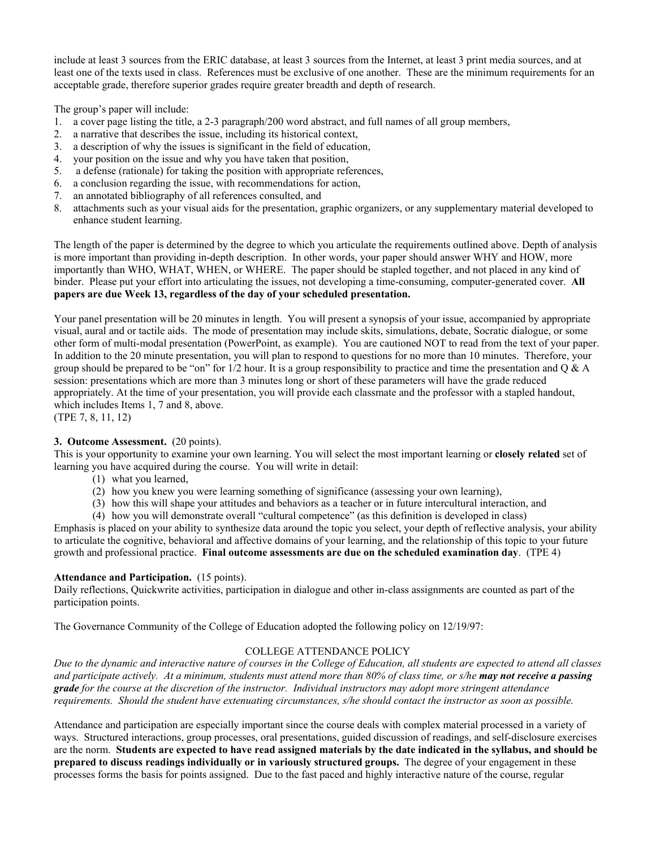include at least 3 sources from the ERIC database, at least 3 sources from the Internet, at least 3 print media sources, and at least one of the texts used in class. References must be exclusive of one another. These are the minimum requirements for an acceptable grade, therefore superior grades require greater breadth and depth of research.

The group's paper will include:

- 1. a cover page listing the title, a 2-3 paragraph/200 word abstract, and full names of all group members,
- 2. a narrative that describes the issue, including its historical context,
- 3. a description of why the issues is significant in the field of education,
- 4. your position on the issue and why you have taken that position,
- 5. a defense (rationale) for taking the position with appropriate references,
- 6. a conclusion regarding the issue, with recommendations for action,
- 7. an annotated bibliography of all references consulted, and
- 8. attachments such as your visual aids for the presentation, graphic organizers, or any supplementary material developed to enhance student learning.

The length of the paper is determined by the degree to which you articulate the requirements outlined above. Depth of analysis is more important than providing in-depth description. In other words, your paper should answer WHY and HOW, more importantly than WHO, WHAT, WHEN, or WHERE. The paper should be stapled together, and not placed in any kind of binder. Please put your effort into articulating the issues, not developing a time-consuming, computer-generated cover. **All papers are due Week 13, regardless of the day of your scheduled presentation.**

Your panel presentation will be 20 minutes in length. You will present a synopsis of your issue, accompanied by appropriate visual, aural and or tactile aids. The mode of presentation may include skits, simulations, debate, Socratic dialogue, or some other form of multi-modal presentation (PowerPoint, as example). You are cautioned NOT to read from the text of your paper. In addition to the 20 minute presentation, you will plan to respond to questions for no more than 10 minutes. Therefore, your group should be prepared to be "on" for  $1/2$  hour. It is a group responsibility to practice and time the presentation and Q & A session: presentations which are more than 3 minutes long or short of these parameters will have the grade reduced appropriately. At the time of your presentation, you will provide each classmate and the professor with a stapled handout, which includes Items 1, 7 and 8, above.

(TPE 7, 8, 11, 12)

### **3. Outcome Assessment.** (20 points).

This is your opportunity to examine your own learning. You will select the most important learning or **closely related** set of learning you have acquired during the course. You will write in detail:

- (1) what you learned,
- (2) how you knew you were learning something of significance (assessing your own learning),
- (3) how this will shape your attitudes and behaviors as a teacher or in future intercultural interaction, and
- (4) how you will demonstrate overall "cultural competence" (as this definition is developed in class)

Emphasis is placed on your ability to synthesize data around the topic you select, your depth of reflective analysis, your ability to articulate the cognitive, behavioral and affective domains of your learning, and the relationship of this topic to your future growth and professional practice. **Final outcome assessments are due on the scheduled examination day**. (TPE 4)

### **Attendance and Participation.** (15 points).

Daily reflections, Quickwrite activities, participation in dialogue and other in-class assignments are counted as part of the participation points.

The Governance Community of the College of Education adopted the following policy on 12/19/97:

## COLLEGE ATTENDANCE POLICY

*Due to the dynamic and interactive nature of courses in the College of Education, all students are expected to attend all classes and participate actively. At a minimum, students must attend more than 80% of class time, or s/he may not receive a passing grade for the course at the discretion of the instructor. Individual instructors may adopt more stringent attendance requirements. Should the student have extenuating circumstances, s/he should contact the instructor as soon as possible.* 

Attendance and participation are especially important since the course deals with complex material processed in a variety of ways. Structured interactions, group processes, oral presentations, guided discussion of readings, and self-disclosure exercises are the norm. **Students are expected to have read assigned materials by the date indicated in the syllabus, and should be prepared to discuss readings individually or in variously structured groups.** The degree of your engagement in these processes forms the basis for points assigned. Due to the fast paced and highly interactive nature of the course, regular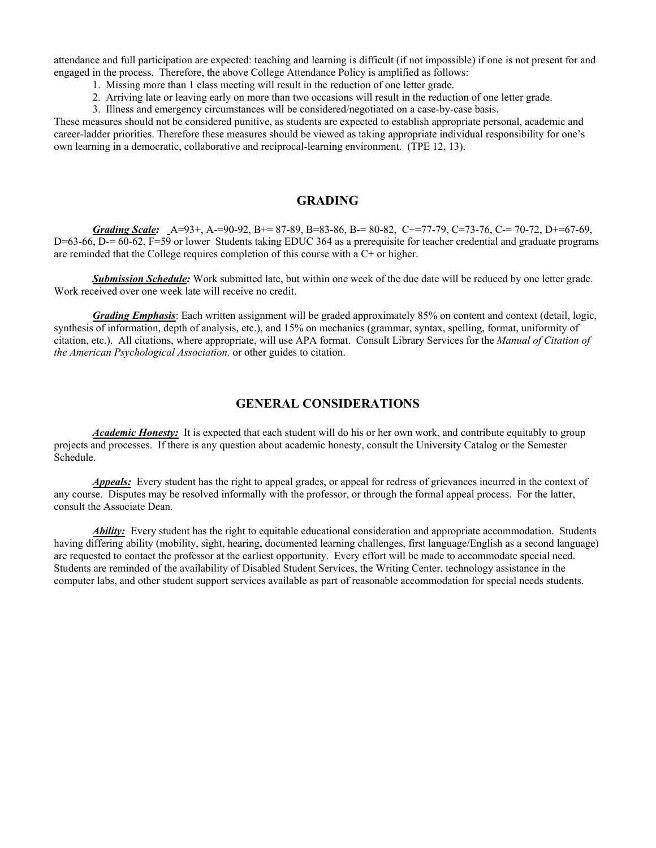attendance and full participation are expected: teaching and learning is difficult (if not impossible) if one is not present for and engaged in the process. Therefore, the above College Attendance Policy is amplified as follows:

1. Missing more than 1 class meeting will result in the reduction of one letter grade.

2. Arriving late or leaving early on more than two occasions will result in the reduction of one letter grade.

3. Illness and emergency circumstances will be considered/negotiated on a case-by-case basis.

These measures should not be considered punitive, as students are expected to establish appropriate personal, academic and career-ladder priorities. Therefore these measures should be viewed as taking appropriate individual responsibility for one's own learning in a democratic, collaborative and reciprocal-learning environment. (TPE 12, 13).

## **GRADING**

*Grading Scale:* A=93+, A-=90-92, B+= 87-89, B=83-86, B-= 80-82, C+=77-79, C=73-76, C-= 70-72, D+=67-69,  $D=63-66$ ,  $D=60-62$ ,  $F=59$  or lower Students taking EDUC 364 as a prerequisite for teacher credential and graduate programs are reminded that the College requires completion of this course with a C+ or higher.

 *Submission Schedule:* Work submitted late, but within one week of the due date will be reduced by one letter grade. Work received over one week late will receive no credit.

*Grading Emphasis*: Each written assignment will be graded approximately 85% on content and context (detail, logic, synthesis of information, depth of analysis, etc.), and 15% on mechanics (grammar, syntax, spelling, format, uniformity of citation, etc.). All citations, where appropriate, will use APA format. Consult Library Services for the *Manual of Citation of the American Psychological Association,* or other guides to citation.

# **GENERAL CONSIDERATIONS**

*Academic Honesty:* It is expected that each student will do his or her own work, and contribute equitably to group projects and processes. If there is any question about academic honesty, consult the University Catalog or the Semester Schedule.

*Appeals:* Every student has the right to appeal grades, or appeal for redress of grievances incurred in the context of any course. Disputes may be resolved informally with the professor, or through the formal appeal process. For the latter, consult the Associate Dean.

*Ability:* Every student has the right to equitable educational consideration and appropriate accommodation. Students having differing ability (mobility, sight, hearing, documented learning challenges, first language/English as a second language) are requested to contact the professor at the earliest opportunity. Every effort will be made to accommodate special need. Students are reminded of the availability of Disabled Student Services, the Writing Center, technology assistance in the computer labs, and other student support services available as part of reasonable accommodation for special needs students.